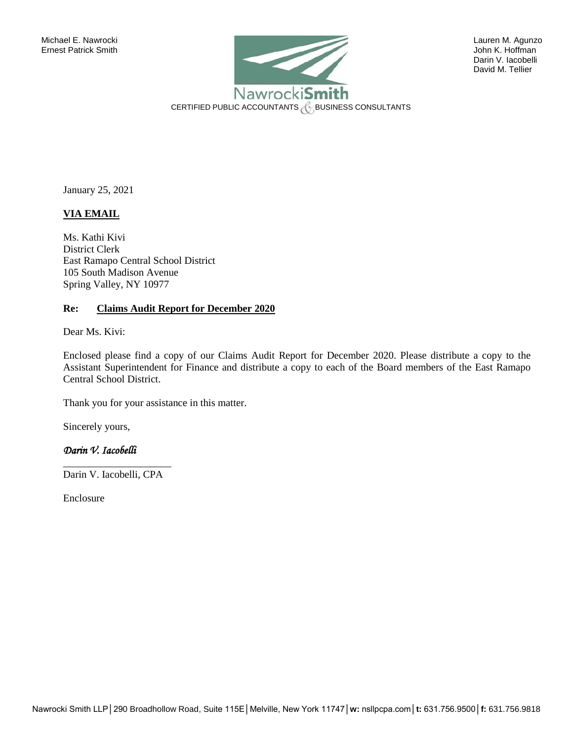

 Darin V. Iacobelli David M. Tellier

January 25, 2021

# **VIA EMAIL**

Ms. Kathi Kivi District Clerk East Ramapo Central School District 105 South Madison Avenue Spring Valley, NY 10977

## **Re: Claims Audit Report for December 2020**

Dear Ms. Kivi:

Enclosed please find a copy of our Claims Audit Report for December 2020. Please distribute a copy to the Assistant Superintendent for Finance and distribute a copy to each of the Board members of the East Ramapo Central School District.

Thank you for your assistance in this matter.

Sincerely yours,

## *Darin V. Iacobelli*

\_\_\_\_\_\_\_\_\_\_\_\_\_\_\_\_\_\_\_\_\_ Darin V. Iacobelli, CPA

Enclosure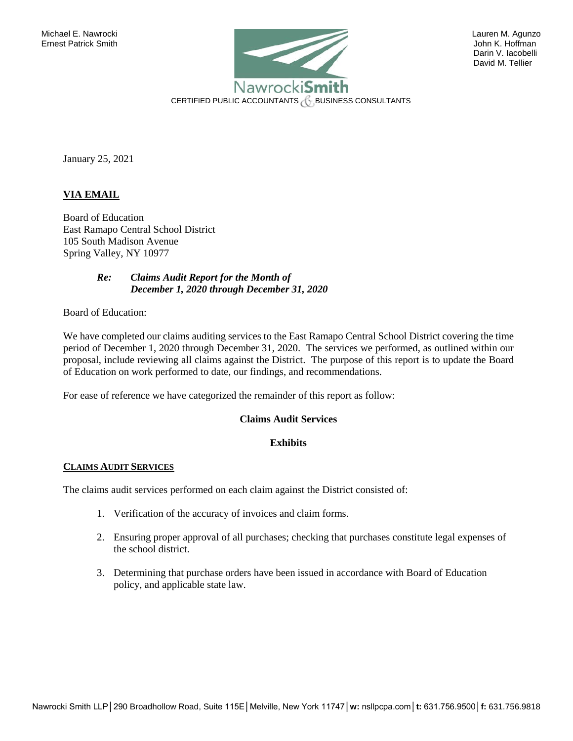

 Darin V. Iacobelli David M. Tellier

January 25, 2021

## **VIA EMAIL**

Board of Education East Ramapo Central School District 105 South Madison Avenue Spring Valley, NY 10977

### *Re: Claims Audit Report for the Month of December 1, 2020 through December 31, 2020*

Board of Education:

We have completed our claims auditing services to the East Ramapo Central School District covering the time period of December 1, 2020 through December 31, 2020. The services we performed, as outlined within our proposal, include reviewing all claims against the District. The purpose of this report is to update the Board of Education on work performed to date, our findings, and recommendations.

For ease of reference we have categorized the remainder of this report as follow:

## **Claims Audit Services**

### **Exhibits**

#### **CLAIMS AUDIT SERVICES**

The claims audit services performed on each claim against the District consisted of:

- 1. Verification of the accuracy of invoices and claim forms.
- 2. Ensuring proper approval of all purchases; checking that purchases constitute legal expenses of the school district.
- 3. Determining that purchase orders have been issued in accordance with Board of Education policy, and applicable state law.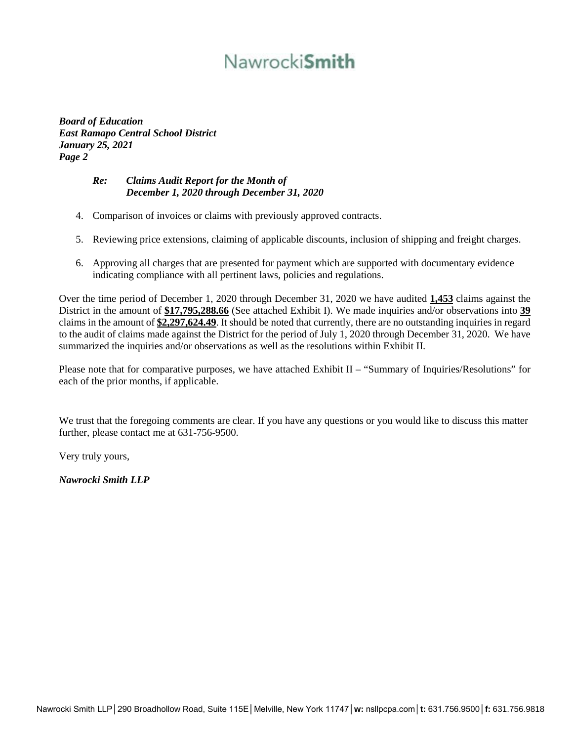# Nawrocki**Smith**

*Board of Education East Ramapo Central School District January 25, 2021 Page 2*

## *Re: Claims Audit Report for the Month of December 1, 2020 through December 31, 2020*

- 4. Comparison of invoices or claims with previously approved contracts.
- 5. Reviewing price extensions, claiming of applicable discounts, inclusion of shipping and freight charges.
- 6. Approving all charges that are presented for payment which are supported with documentary evidence indicating compliance with all pertinent laws, policies and regulations.

Over the time period of December 1, 2020 through December 31, 2020 we have audited **1,453** claims against the District in the amount of **\$17,795,288.66** (See attached Exhibit I). We made inquiries and/or observations into **39** claims in the amount of **\$2,297,624.49**. It should be noted that currently, there are no outstanding inquiries in regard to the audit of claims made against the District for the period of July 1, 2020 through December 31, 2020. We have summarized the inquiries and/or observations as well as the resolutions within Exhibit II.

Please note that for comparative purposes, we have attached Exhibit II – "Summary of Inquiries/Resolutions" for each of the prior months, if applicable.

We trust that the foregoing comments are clear. If you have any questions or you would like to discuss this matter further, please contact me at 631-756-9500.

Very truly yours,

*Nawrocki Smith LLP*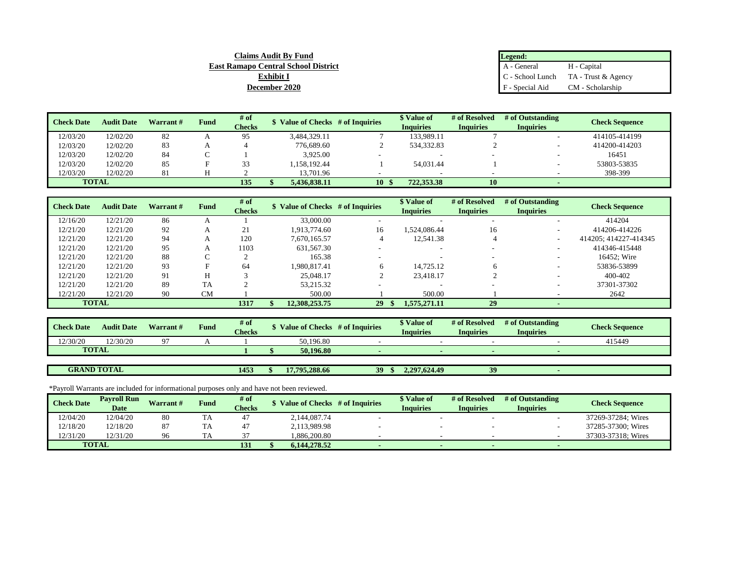| Legend:         |                                        |
|-----------------|----------------------------------------|
| A - General     | H - Capital                            |
|                 | $C$ - School Lunch TA - Trust & Agency |
| F - Special Aid | CM - Scholarship                       |

| <b>Check Date</b> | <b>Audit Date</b> | Warrant # | <b>Fund</b> | # of          | \$ Value of Checks # of Inquiries |                 | \$ Value of      | # of Resolved            | # of Outstanding | <b>Check Sequence</b> |
|-------------------|-------------------|-----------|-------------|---------------|-----------------------------------|-----------------|------------------|--------------------------|------------------|-----------------------|
|                   |                   |           |             | <b>Checks</b> |                                   |                 | <b>Inquiries</b> | <b>Inquiries</b>         | <b>Inquiries</b> |                       |
| 12/03/20          | 12/02/20          | 82        |             | 95            | 3.484.329.11                      |                 | 133,989.11       |                          |                  | 414105-414199         |
| 12/03/20          | 12/02/20          | 83        |             |               | 776,689.60                        |                 | 534,332.83       |                          | $\sim$           | 414200-414203         |
| 12/03/20          | 12/02/20          | 84        |             |               | 3.925.00                          |                 |                  | $\overline{\phantom{a}}$ | -                | 16451                 |
| 12/03/20          | 12/02/20          | 85        |             |               | 1.158.192.44                      |                 | 54.031.44        |                          | -                | 53803-53835           |
| 12/03/20          | 12/02/20          | 81        |             |               | 13.701.96                         |                 |                  |                          |                  | 398-399               |
| <b>TOTAL</b>      |                   |           |             | 135           | 5.436.838.11                      | 10 <sup>5</sup> | 722,353,38       | 10                       |                  |                       |

| <b>Check Date</b> | <b>Audit Date</b> | Warrant # | <b>Fund</b> | # of          | \$ Value of Checks # of Inquiries |    | \$ Value of              | # of Resolved            | # of Outstanding         | <b>Check Sequence</b> |
|-------------------|-------------------|-----------|-------------|---------------|-----------------------------------|----|--------------------------|--------------------------|--------------------------|-----------------------|
|                   |                   |           |             | <b>Checks</b> |                                   |    | <b>Inquiries</b>         | <b>Inquiries</b>         | <b>Inquiries</b>         |                       |
| 12/16/20          | 12/21/20          | 86        |             |               | 33,000.00                         |    | -                        | $\overline{\phantom{a}}$ | $\overline{\phantom{a}}$ | 414204                |
| 12/21/20          | 12/21/20          | 92        | A           | 21            | 1.913.774.60                      | 16 | 1.524.086.44             | 16                       |                          | 414206-414226         |
| 12/21/20          | 12/21/20          | 94        | А           | 120           | 7.670.165.57                      |    | 12.541.38                |                          |                          | 414205: 414227-414345 |
| 12/21/20          | 12/21/20          | 95        |             | 1103          | 631,567.30                        |    |                          |                          |                          | 414346-415448         |
| 12/21/20          | 12/21/20          | 88        |             |               | 165.38                            |    | $\overline{\phantom{a}}$ | $\overline{\phantom{a}}$ | $\overline{\phantom{a}}$ | 16452: Wire           |
| 12/21/20          | 12/21/20          | 93        | Е           | 64            | 1.980.817.41                      | 6  | 14.725.12                | 6                        |                          | 53836-53899           |
| 12/21/20          | 12/21/20          | 91        | H           |               | 25,048.17                         |    | 23.418.17                |                          | $\overline{\phantom{a}}$ | 400-402               |
| 12/21/20          | 12/21/20          | 89        | <b>TA</b>   |               | 53,215.32                         |    |                          | $\overline{\phantom{a}}$ | $\overline{\phantom{a}}$ | 37301-37302           |
| 12/21/20          | 12/21/20          | 90        | <b>CM</b>   |               | 500.00                            |    | 500.00                   |                          |                          | 2642                  |
|                   | <b>TOTAL</b>      |           |             | 1317          | 12.308.253.75                     | 29 | 1,575,271.11             | 29                       |                          |                       |

| <b>Check Date</b> | <b>Audit Date</b> | Warrant # | <b>Fund</b> | # of<br><b>Checks</b> | Value of Checks # of Inquiries | \$ Value of<br>Inquiries | # of Resolved<br><b>Inquiries</b> | # of Outstanding<br><b>Inquiries</b> | <b>Check Sequence</b> |
|-------------------|-------------------|-----------|-------------|-----------------------|--------------------------------|--------------------------|-----------------------------------|--------------------------------------|-----------------------|
| 12/30/20          | 12/30/20          | $\Omega$  |             |                       | 50.196.80                      |                          |                                   |                                      | 415449                |
| <b>TOTAL</b>      |                   |           |             |                       | 50,196.80                      |                          |                                   |                                      |                       |
|                   |                   |           |             |                       |                                |                          |                                   |                                      |                       |

**1453** \$ 17,795,288.66 39 \$ 2,297,624.49 39 **GRAND TOTAL**

**Claims Audit By Fund East Ramapo Central School District Exhibit I December 2020**

\*Payroll Warrants are included for informational purposes only and have not been reviewed.

| <b>Check Date</b> | <b>Pavroll Run</b> | <b>Warrant#</b> | <b>Tund</b> | # of          | <b>Value of Checks</b> | # of Inquiries | <i>Nalue of</i>  | # of Resolved    | # of Outstanding | <b>Check Sequence</b> |
|-------------------|--------------------|-----------------|-------------|---------------|------------------------|----------------|------------------|------------------|------------------|-----------------------|
|                   | <b>Date</b>        |                 |             | <b>Checks</b> |                        |                | <b>Inquiries</b> | <b>Inquiries</b> | Inquiries        |                       |
| 12/04/20          | 12/04/20           | 80              | TA          |               | 2.144.087.74           |                |                  |                  |                  | 37269-37284: Wires    |
| 2/18/20           | 12/18/20           | 87              | TA          |               | 2.113.989.98           |                |                  |                  |                  | 37285-37300: Wires    |
| 12/31/20          | 12/31/20           | 96              |             |               | 1.886.200.80           |                |                  |                  |                  | 37303-37318: Wires    |
|                   | <b>TOTAL</b>       |                 |             | 131           | 6.144.278.52           |                |                  |                  |                  |                       |